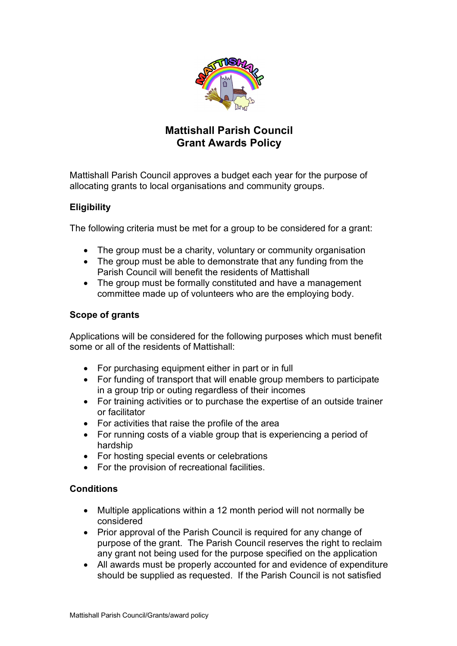

# **Mattishall Parish Council Grant Awards Policy**

Mattishall Parish Council approves a budget each year for the purpose of allocating grants to local organisations and community groups.

## **Eligibility**

The following criteria must be met for a group to be considered for a grant:

- The group must be a charity, voluntary or community organisation
- The group must be able to demonstrate that any funding from the Parish Council will benefit the residents of Mattishall
- The group must be formally constituted and have a management committee made up of volunteers who are the employing body.

### **Scope of grants**

Applications will be considered for the following purposes which must benefit some or all of the residents of Mattishall:

- For purchasing equipment either in part or in full
- For funding of transport that will enable group members to participate in a group trip or outing regardless of their incomes
- For training activities or to purchase the expertise of an outside trainer or facilitator
- For activities that raise the profile of the area
- For running costs of a viable group that is experiencing a period of hardship
- For hosting special events or celebrations
- For the provision of recreational facilities.

### **Conditions**

- Multiple applications within a 12 month period will not normally be considered
- Prior approval of the Parish Council is required for any change of purpose of the grant. The Parish Council reserves the right to reclaim any grant not being used for the purpose specified on the application
- All awards must be properly accounted for and evidence of expenditure should be supplied as requested. If the Parish Council is not satisfied